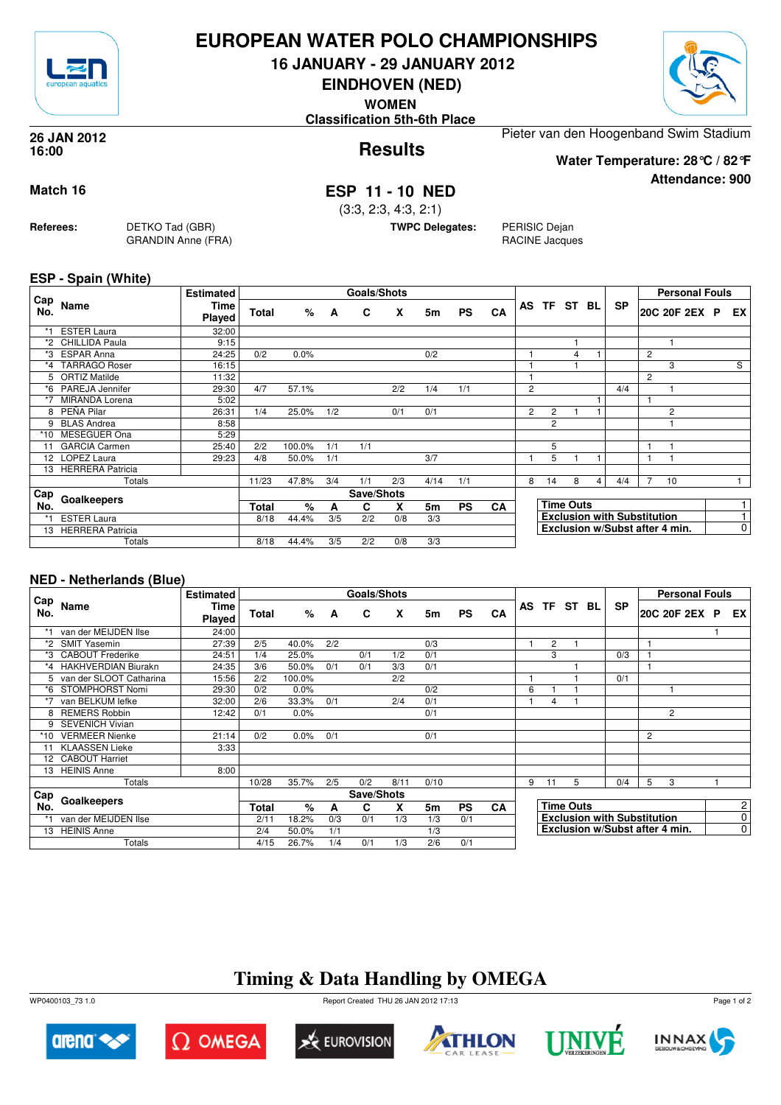

### **EUROPEAN WATER POLO CHAMPIONSHIPS**

**16 JANUARY - 29 JANUARY 2012**

**EINDHOVEN (NED)**

**WOMEN**

**Classification 5th-6th Place**



**Attendance: 900**

**Results 26 JAN 2012 16:00**

Pieter van den Hoogenband Swim Stadium

**Water Temperature: 28°C / 82°F**

#### **Match 16 ESP 11 - 10 NED**

(3:3, 2:3, 4:3, 2:1)

**TWPC Delegates:** PERISIC Dejan

RACINE Jacques

**ESP - Spain (White)**

**Referees:** DETKO Tad (GBR)

GRANDIN Anne (FRA)

|            |                         | <b>Estimated</b> |       |        |          | Goals/Shots |     |      |           |    |                |                |                  |   |                                    |                | <b>Personal Fouls</b> |                |
|------------|-------------------------|------------------|-------|--------|----------|-------------|-----|------|-----------|----|----------------|----------------|------------------|---|------------------------------------|----------------|-----------------------|----------------|
| Cap<br>No. | Name                    | Time<br>Played   | Total | %      | <b>A</b> | C           | X   | 5m   | <b>PS</b> | CA |                |                | AS TF ST BL      |   | <b>SP</b>                          |                | 20C 20F 2EX P         | EX I           |
| $*1$       | <b>ESTER Laura</b>      | 32:00            |       |        |          |             |     |      |           |    |                |                |                  |   |                                    |                |                       |                |
|            | *2 CHILLIDA Paula       | 9:15             |       |        |          |             |     |      |           |    |                |                |                  |   |                                    |                |                       |                |
|            | *3 ESPAR Anna           | 24:25            | 0/2   | 0.0%   |          |             |     | 0/2  |           |    |                |                | $\overline{4}$   |   |                                    | $\overline{c}$ |                       |                |
| $*_{4}$    | <b>TARRAGO Roser</b>    | 16:15            |       |        |          |             |     |      |           |    |                |                |                  |   |                                    |                | 3                     | S              |
|            | 5 ORTIZ Matilde         | 11:32            |       |        |          |             |     |      |           |    |                |                |                  |   |                                    | $\overline{c}$ |                       |                |
|            | *6 PAREJA Jennifer      | 29:30            | 4/7   | 57.1%  |          |             | 2/2 | 1/4  | 1/1       |    | $\overline{2}$ |                |                  |   | 4/4                                |                |                       |                |
| $*7$       | <b>MIRANDA Lorena</b>   | 5:02             |       |        |          |             |     |      |           |    |                |                |                  |   |                                    |                |                       |                |
| 8          | PEÑA Pilar              | 26:31            | 1/4   | 25.0%  | 1/2      |             | 0/1 | 0/1  |           |    | $\overline{2}$ | $\overline{2}$ |                  |   |                                    |                | 2                     |                |
|            | <b>BLAS Andrea</b>      | 8:58             |       |        |          |             |     |      |           |    |                | 2              |                  |   |                                    |                |                       |                |
| $*10$      | <b>MESEGUER Ona</b>     | 5:29             |       |        |          |             |     |      |           |    |                |                |                  |   |                                    |                |                       |                |
| 11         | <b>GARCIA Carmen</b>    | 25:40            | 2/2   | 100.0% | 1/1      | 1/1         |     |      |           |    |                | 5              |                  |   |                                    |                |                       |                |
|            | 12 LOPEZ Laura          | 29:23            | 4/8   | 50.0%  | 1/1      |             |     | 3/7  |           |    |                | 5              |                  |   |                                    |                |                       |                |
| 13         | <b>HERRERA Patricia</b> |                  |       |        |          |             |     |      |           |    |                |                |                  |   |                                    |                |                       |                |
|            | Totals                  |                  | 11/23 | 47.8%  | 3/4      | 1/1         | 2/3 | 4/14 | 1/1       |    | 8              | 14             | 8                | 4 | 4/4                                |                | 10                    |                |
| Cap        | Goalkeepers             |                  |       |        |          | Save/Shots  |     |      |           |    |                |                |                  |   |                                    |                |                       |                |
| No.        |                         |                  | Total | %      | A        | C           | x   | 5m   | <b>PS</b> | CA |                |                | <b>Time Outs</b> |   |                                    |                |                       |                |
| $*1$       | <b>ESTER Laura</b>      |                  | 8/18  | 44.4%  | 3/5      | 2/2         | 0/8 | 3/3  |           |    |                |                |                  |   | <b>Exclusion with Substitution</b> |                |                       |                |
|            | 13 HERRERA Patricia     |                  |       |        |          |             |     |      |           |    |                |                |                  |   | Exclusion w/Subst after 4 min.     |                |                       | $\overline{0}$ |
|            | Totals                  |                  | 8/18  | 44.4%  | 3/5      | 2/2         | 0/8 | 3/3  |           |    |                |                |                  |   |                                    |                |                       |                |

#### **NED - Netherlands (Blue)**

|                 |                           | <b>Estimated</b>      |       |        |     | Goals/Shots |      |      |           |           |   |                                    |                                |           |   | <b>Personal Fouls</b> |                |
|-----------------|---------------------------|-----------------------|-------|--------|-----|-------------|------|------|-----------|-----------|---|------------------------------------|--------------------------------|-----------|---|-----------------------|----------------|
| Cap<br>No.      | Name                      | <b>Time</b><br>Played | Total | %      | A   | C           | X    | 5m   | <b>PS</b> | CA        |   |                                    | AS TF ST BL                    | <b>SP</b> |   | 20C 20F 2EX P         | EX I           |
|                 | van der MEIJDEN Ilse      | 24:00                 |       |        |     |             |      |      |           |           |   |                                    |                                |           |   |                       |                |
| *2              | <b>SMIT Yasemin</b>       | 27:39                 | 2/5   | 40.0%  | 2/2 |             |      | 0/3  |           |           |   | $\overline{2}$                     |                                |           |   |                       |                |
| *3              | <b>CABOUT Frederike</b>   | 24:51                 | 1/4   | 25.0%  |     | 0/1         | 1/2  | 0/1  |           |           |   | 3                                  |                                | 0/3       |   |                       |                |
|                 | *4 HAKHVERDIAN Biurakn    | 24:35                 | 3/6   | 50.0%  | 0/1 | 0/1         | 3/3  | 0/1  |           |           |   |                                    |                                |           | 1 |                       |                |
|                 | 5 van der SLOOT Catharina | 15:56                 | 2/2   | 100.0% |     |             | 2/2  |      |           |           |   |                                    |                                | 0/1       |   |                       |                |
| *6              | STOMPHORST Nomi           | 29:30                 | 0/2   | 0.0%   |     |             |      | 0/2  |           |           | 6 |                                    |                                |           |   |                       |                |
| *7              | van BELKUM lefke          | 32:00                 | 2/6   | 33.3%  | 0/1 |             | 2/4  | 0/1  |           |           |   | 4                                  |                                |           |   |                       |                |
| 8               | <b>REMERS Robbin</b>      | 12:42                 | 0/1   | 0.0%   |     |             |      | 0/1  |           |           |   |                                    |                                |           |   | 2                     |                |
| 9               | <b>SEVENICH Vivian</b>    |                       |       |        |     |             |      |      |           |           |   |                                    |                                |           |   |                       |                |
| *10             | <b>VERMEER Nienke</b>     | 21:14                 | 0/2   | 0.0%   | 0/1 |             |      | 0/1  |           |           |   |                                    |                                |           | 2 |                       |                |
| 11              | <b>KLAASSEN Lieke</b>     | 3:33                  |       |        |     |             |      |      |           |           |   |                                    |                                |           |   |                       |                |
| 12 <sup>2</sup> | <b>CABOUT Harriet</b>     |                       |       |        |     |             |      |      |           |           |   |                                    |                                |           |   |                       |                |
| 13              | <b>HEINIS Anne</b>        | 8:00                  |       |        |     |             |      |      |           |           |   |                                    |                                |           |   |                       |                |
|                 | Totals                    |                       | 10/28 | 35.7%  | 2/5 | 0/2         | 8/11 | 0/10 |           |           | 9 | 11                                 | 5                              | 0/4       | 5 | 3                     |                |
| Cap             |                           |                       |       |        |     | Save/Shots  |      |      |           |           |   |                                    |                                |           |   |                       |                |
| No.             | Goalkeepers               |                       | Total | %      | A   | C           | X    | 5m   | <b>PS</b> | <b>CA</b> |   |                                    | <b>Time Outs</b>               |           |   |                       | $\mathbf{2}$   |
| $*1$            | van der MEIJDEN Ilse      |                       | 2/11  | 18.2%  | 0/3 | 0/1         | 1/3  | 1/3  | 0/1       |           |   | <b>Exclusion with Substitution</b> |                                |           |   |                       | $\overline{0}$ |
|                 | 13 HEINIS Anne            |                       | 2/4   | 50.0%  | 1/1 |             |      | 1/3  |           |           |   |                                    | Exclusion w/Subst after 4 min. |           |   |                       | $\overline{0}$ |
|                 | Totals                    |                       | 4/15  | 26.7%  | 1/4 | 0/1         | 1/3  | 2/6  | 0/1       |           |   |                                    |                                |           |   |                       |                |

## **Timing & Data Handling by OMEGA**

WP0400103\_73 1.0 Report Created THU 26 JAN 2012 17:13













Page 1 of 2